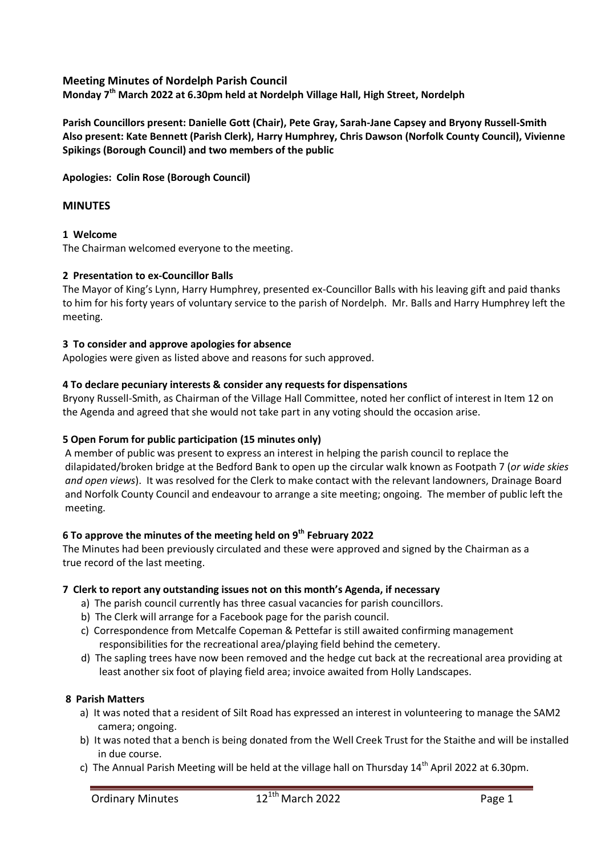# **Meeting Minutes of Nordelph Parish Council**

**Monday 7th March 2022 at 6.30pm held at Nordelph Village Hall, High Street, Nordelph**

**Parish Councillors present: Danielle Gott (Chair), Pete Gray, Sarah-Jane Capsey and Bryony Russell-Smith Also present: Kate Bennett (Parish Clerk), Harry Humphrey, Chris Dawson (Norfolk County Council), Vivienne Spikings (Borough Council) and two members of the public**

**Apologies: Colin Rose (Borough Council)**

## **MINUTES**

### **1 Welcome**

The Chairman welcomed everyone to the meeting.

### **2 Presentation to ex-Councillor Balls**

The Mayor of King's Lynn, Harry Humphrey, presented ex-Councillor Balls with his leaving gift and paid thanks to him for his forty years of voluntary service to the parish of Nordelph. Mr. Balls and Harry Humphrey left the meeting.

#### **3 To consider and approve apologies for absence**

Apologies were given as listed above and reasons for such approved.

### **4 To declare pecuniary interests & consider any requests for dispensations**

Bryony Russell-Smith, as Chairman of the Village Hall Committee, noted her conflict of interest in Item 12 on the Agenda and agreed that she would not take part in any voting should the occasion arise.

# **5 Open Forum for public participation (15 minutes only)**

A member of public was present to express an interest in helping the parish council to replace the dilapidated/broken bridge at the Bedford Bank to open up the circular walk known as Footpath 7 (*or wide skies and open views*). It was resolved for the Clerk to make contact with the relevant landowners, Drainage Board and Norfolk County Council and endeavour to arrange a site meeting; ongoing. The member of public left the meeting.

# **6 To approve the minutes of the meeting held on 9th February 2022**

The Minutes had been previously circulated and these were approved and signed by the Chairman as a true record of the last meeting.

#### **7 Clerk to report any outstanding issues not on this month's Agenda, if necessary**

- a) The parish council currently has three casual vacancies for parish councillors.
- b) The Clerk will arrange for a Facebook page for the parish council.
- c) Correspondence from Metcalfe Copeman & Pettefar is still awaited confirming management responsibilities for the recreational area/playing field behind the cemetery.
- d) The sapling trees have now been removed and the hedge cut back at the recreational area providing at least another six foot of playing field area; invoice awaited from Holly Landscapes.

#### **8 Parish Matters**

- a) It was noted that a resident of Silt Road has expressed an interest in volunteering to manage the SAM2 camera; ongoing.
- b) It was noted that a bench is being donated from the Well Creek Trust for the Staithe and will be installed in due course.
- c) The Annual Parish Meeting will be held at the village hall on Thursday 14<sup>th</sup> April 2022 at 6.30pm.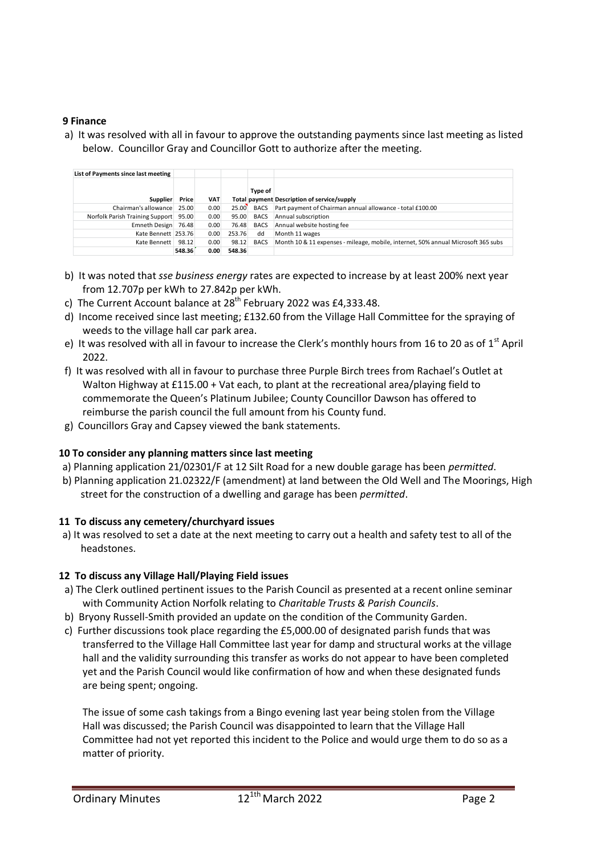# **9 Finance**

a) It was resolved with all in favour to approve the outstanding payments since last meeting as listed below. Councillor Gray and Councillor Gott to authorize after the meeting.

| List of Payments since last meeting   |        |            |        |             |                                                                                   |
|---------------------------------------|--------|------------|--------|-------------|-----------------------------------------------------------------------------------|
| Supplier                              | Price  | <b>VAT</b> |        | Type of     | Total payment Description of service/supply                                       |
| Chairman's allowance 25.00            |        | 0.00       | 25.00  | BACS        | Part payment of Chairman annual allowance - total £100.00                         |
| Norfolk Parish Training Support 95.00 |        | 0.00       | 95.00  | <b>BACS</b> | Annual subscription                                                               |
| Emneth Design 76.48                   |        | 0.00       | 76.48  | <b>BACS</b> | Annual website hosting fee                                                        |
| Kate Bennett 253.76                   |        | 0.00       | 253.76 | dd          | Month 11 wages                                                                    |
| Kate Bennett                          | 98.12  | 0.00       | 98.12  | <b>BACS</b> | Month 10 & 11 expenses - mileage, mobile, internet, 50% annual Microsoft 365 subs |
|                                       | 548.36 | 0.00       | 548.36 |             |                                                                                   |

- b) It was noted that *sse business energy* rates are expected to increase by at least 200% next year from 12.707p per kWh to 27.842p per kWh.
- c) The Current Account balance at  $28<sup>th</sup>$  February 2022 was £4,333.48.
- d) Income received since last meeting; £132.60 from the Village Hall Committee for the spraying of weeds to the village hall car park area.
- e) It was resolved with all in favour to increase the Clerk's monthly hours from 16 to 20 as of 1<sup>st</sup> April 2022.
- f) It was resolved with all in favour to purchase three Purple Birch trees from Rachael's Outlet at Walton Highway at £115.00 + Vat each, to plant at the recreational area/playing field to commemorate the Queen's Platinum Jubilee; County Councillor Dawson has offered to reimburse the parish council the full amount from his County fund.
- g) Councillors Gray and Capsey viewed the bank statements.

# **10 To consider any planning matters since last meeting**

- a) Planning application 21/02301/F at 12 Silt Road for a new double garage has been *permitted*.
- b) Planning application 21.02322/F (amendment) at land between the Old Well and The Moorings, High street for the construction of a dwelling and garage has been *permitted*.

# **11 To discuss any cemetery/churchyard issues**

a) It was resolved to set a date at the next meeting to carry out a health and safety test to all of the headstones.

# **12 To discuss any Village Hall/Playing Field issues**

- a) The Clerk outlined pertinent issues to the Parish Council as presented at a recent online seminar with Community Action Norfolk relating to *Charitable Trusts & Parish Councils*.
- b) Bryony Russell-Smith provided an update on the condition of the Community Garden.
- c) Further discussions took place regarding the £5,000.00 of designated parish funds that was transferred to the Village Hall Committee last year for damp and structural works at the village hall and the validity surrounding this transfer as works do not appear to have been completed yet and the Parish Council would like confirmation of how and when these designated funds are being spent; ongoing.

The issue of some cash takings from a Bingo evening last year being stolen from the Village Hall was discussed; the Parish Council was disappointed to learn that the Village Hall Committee had not yet reported this incident to the Police and would urge them to do so as a matter of priority.